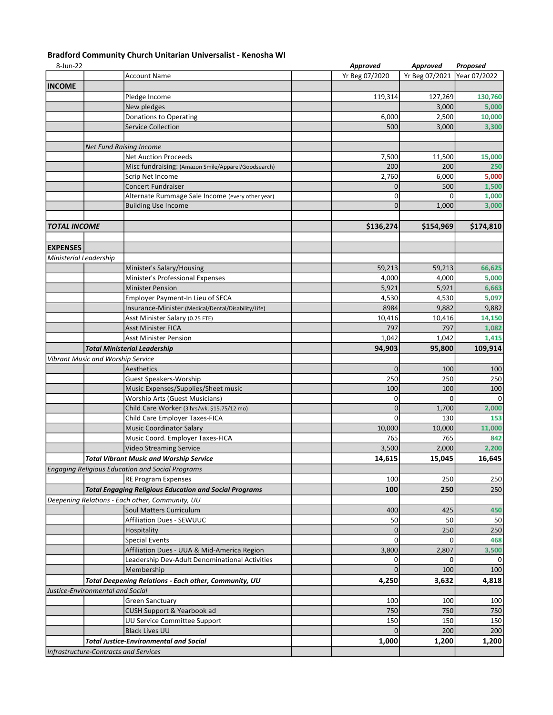## Bradford Community Church Unitarian Universalist - Kenosha WI

| 8-Jun-22               |                                                               | Approved       | Approved                    | Proposed  |
|------------------------|---------------------------------------------------------------|----------------|-----------------------------|-----------|
|                        | <b>Account Name</b>                                           | Yr Beg 07/2020 | Yr Beg 07/2021 Year 07/2022 |           |
| <b>INCOME</b>          |                                                               |                |                             |           |
|                        | Pledge Income                                                 | 119,314        | 127,269                     | 130,760   |
|                        | New pledges                                                   |                | 3,000                       | 5,000     |
|                        | Donations to Operating                                        | 6,000          | 2,500                       | 10,000    |
|                        | <b>Service Collection</b>                                     | 500            | 3,000                       | 3,300     |
|                        |                                                               |                |                             |           |
|                        | <b>Net Fund Raising Income</b>                                |                |                             |           |
|                        | <b>Net Auction Proceeds</b>                                   | 7,500          | 11,500                      | 15,000    |
|                        | Misc fundraising: (Amazon Smile/Apparel/Goodsearch)           | 200            | 200                         | 250       |
|                        | Scrip Net Income                                              | 2,760          | 6,000                       | 5,000     |
|                        | <b>Concert Fundraiser</b>                                     | $\mathbf 0$    | 500                         | 1,500     |
|                        | Alternate Rummage Sale Income (every other year)              | $\mathbf 0$    | 0                           | 1,000     |
|                        | <b>Building Use Income</b>                                    | $\Omega$       | 1,000                       | 3,000     |
|                        |                                                               |                |                             |           |
| <b>TOTAL INCOME</b>    |                                                               | \$136,274      | \$154,969                   | \$174,810 |
|                        |                                                               |                |                             |           |
| <b>EXPENSES</b>        |                                                               |                |                             |           |
| Ministerial Leadership |                                                               |                |                             |           |
|                        | Minister's Salary/Housing                                     | 59,213         | 59,213                      | 66,625    |
|                        | Minister's Professional Expenses                              | 4,000          | 4,000                       | 5,000     |
|                        | <b>Minister Pension</b>                                       | 5,921          | 5,921                       | 6,663     |
|                        | Employer Payment-In Lieu of SECA                              | 4,530          | 4,530                       | 5,097     |
|                        | Insurance-Minister (Medical/Dental/Disability/Life)           | 8984           | 9,882                       | 9,882     |
|                        | Asst Minister Salary (0.25 FTE)                               | 10,416         | 10,416                      | 14,150    |
|                        | <b>Asst Minister FICA</b>                                     | 797            | 797                         | 1,082     |
|                        | <b>Asst Minister Pension</b>                                  | 1,042          |                             |           |
|                        |                                                               |                | 1,042                       | 1,415     |
|                        | <b>Total Ministerial Leadership</b>                           | 94,903         | 95,800                      | 109,914   |
|                        | <b>Vibrant Music and Worship Service</b>                      |                |                             |           |
|                        | Aesthetics                                                    | $\mathbf 0$    | 100                         | 100       |
|                        | <b>Guest Speakers-Worship</b>                                 | 250            | 250                         | 250       |
|                        | Music Expenses/Supplies/Sheet music                           | 100            | 100                         | 100       |
|                        | <b>Worship Arts (Guest Musicians)</b>                         | 0              | 0                           | $\Omega$  |
|                        | Child Care Worker (3 hrs/wk, \$15.75/12 mo)                   | $\mathbf 0$    | 1,700                       | 2,000     |
|                        | Child Care Employer Taxes-FICA                                | $\mathbf 0$    | 130                         | 153       |
|                        | <b>Music Coordinator Salary</b>                               | 10,000         | 10,000                      | 11,000    |
|                        | Music Coord. Employer Taxes-FICA                              | 765            | 765                         | 842       |
|                        | Video Streaming Service                                       | 3,500          | 2,000                       | 2,200     |
|                        | <b>Total Vibrant Music and Worship Service</b>                | 14,615         | 15,045                      | 16,645    |
|                        | <b>Engaging Religious Education and Social Programs</b>       |                |                             |           |
|                        | <b>RE Program Expenses</b>                                    | 100            | 250                         | 250       |
|                        | <b>Total Engaging Religious Education and Social Programs</b> | 100            | 250                         | 250       |
|                        | Deepening Relations - Each other, Community, UU               |                |                             |           |
|                        | Soul Matters Curriculum                                       | 400            | 425                         | 450       |
|                        | <b>Affiliation Dues - SEWUUC</b>                              | 50             | 50                          | 50        |
|                        | Hospitality                                                   | $\mathbf 0$    | 250                         | 250       |
|                        | <b>Special Events</b>                                         | $\mathbf 0$    | $\Omega$                    | 468       |
|                        | Affiliation Dues - UUA & Mid-America Region                   | 3,800          | 2,807                       | 3,500     |
|                        | Leadership Dev-Adult Denominational Activities                | 0              | 0                           | 0         |
|                        | Membership                                                    | $\Omega$       | 100                         | 100       |
|                        | <b>Total Deepening Relations - Each other, Community, UU</b>  | 4,250          | 3,632                       | 4,818     |
|                        | Justice-Environmental and Social                              |                |                             |           |
|                        | <b>Green Sanctuary</b>                                        | 100            | 100                         | 100       |
|                        | CUSH Support & Yearbook ad                                    | 750            | 750                         | 750       |
|                        | UU Service Committee Support                                  | 150            | 150                         | 150       |
|                        | <b>Black Lives UU</b>                                         | $\Omega$       | 200                         | 200       |
|                        | <b>Total Justice-Environmental and Social</b>                 | 1,000          | 1,200                       | 1,200     |
|                        | Infrastructure-Contracts and Services                         |                |                             |           |
|                        |                                                               |                |                             |           |